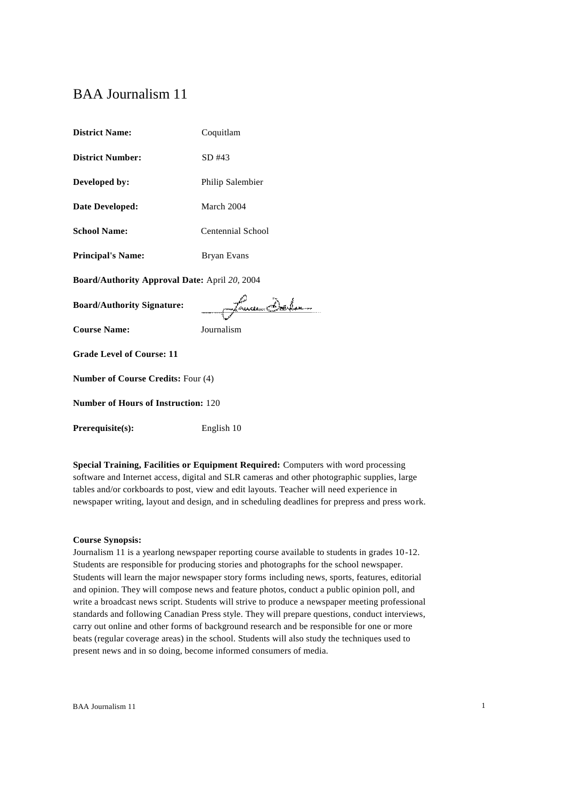# BAA Journalism 11

| <b>District Name:</b>                         | Coquitlam               |  |
|-----------------------------------------------|-------------------------|--|
| <b>District Number:</b>                       | SD #43                  |  |
| Developed by:                                 | <b>Philip Salembier</b> |  |
| <b>Date Developed:</b>                        | March 2004              |  |
| <b>School Name:</b>                           | Centennial School       |  |
| <b>Principal's Name:</b>                      | Bryan Evans             |  |
| Board/Authority Approval Date: April 20, 2004 |                         |  |
| <b>Board/Authority Signature:</b>             | mytherasem Dele         |  |
| <b>Course Name:</b>                           | Journalism              |  |
| <b>Grade Level of Course: 11</b>              |                         |  |
| <b>Number of Course Credits: Four (4)</b>     |                         |  |
| <b>Number of Hours of Instruction: 120</b>    |                         |  |
| Prerequisite(s):                              | English 10              |  |

**Special Training, Facilities or Equipment Required:** Computers with word processing software and Internet access, digital and SLR cameras and other photographic supplies, large tables and/or corkboards to post, view and edit layouts. Teacher will need experience in newspaper writing, layout and design, and in scheduling deadlines for prepress and press work.

#### **Course Synopsis:**

Journalism 11 is a yearlong newspaper reporting course available to students in grades 10-12. Students are responsible for producing stories and photographs for the school newspaper. Students will learn the major newspaper story forms including news, sports, features, editorial and opinion. They will compose news and feature photos, conduct a public opinion poll, and write a broadcast news script. Students will strive to produce a newspaper meeting professional standards and following Canadian Press style. They will prepare questions, conduct interviews, carry out online and other forms of background research and be responsible for one or more beats (regular coverage areas) in the school. Students will also study the techniques used to present news and in so doing, become informed consumers of media.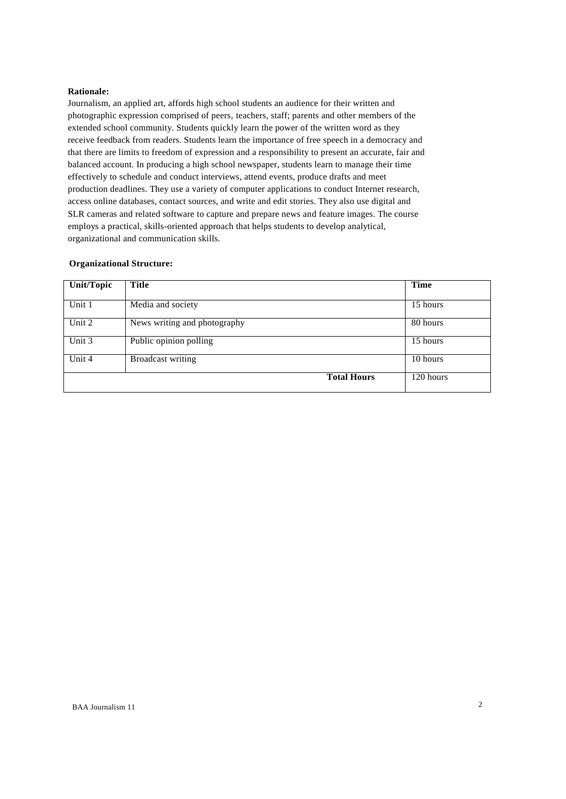## **Rationale:**

Journalism, an applied art, affords high school students an audience for their written and photographic expression comprised of peers, teachers, staff; parents and other members of the extended school community. Students quickly learn the power of the written word as they receive feedback from readers. Students learn the importance of free speech in a democracy and that there are limits to freedom of expression and a responsibility to present an accurate, fair and balanced account. In producing a high school newspaper, students learn to manage their time effectively to schedule and conduct interviews, attend events, produce drafts and meet production deadlines. They use a variety of computer applications to conduct Internet research, access online databases, contact sources, and write and edit stories. They also use digital and SLR cameras and related software to capture and prepare news and feature images. The course employs a practical, skills-oriented approach that helps students to develop analytical, organizational and communication skills.

## **Organizational Structure:**

| <b>Unit/Topic</b> | <b>Title</b>                 | Time      |
|-------------------|------------------------------|-----------|
| Unit 1            | Media and society            | 15 hours  |
| Unit 2            | News writing and photography | 80 hours  |
| Unit 3            | Public opinion polling       | 15 hours  |
| Unit 4            | <b>Broadcast writing</b>     | 10 hours  |
|                   | <b>Total Hours</b>           | 120 hours |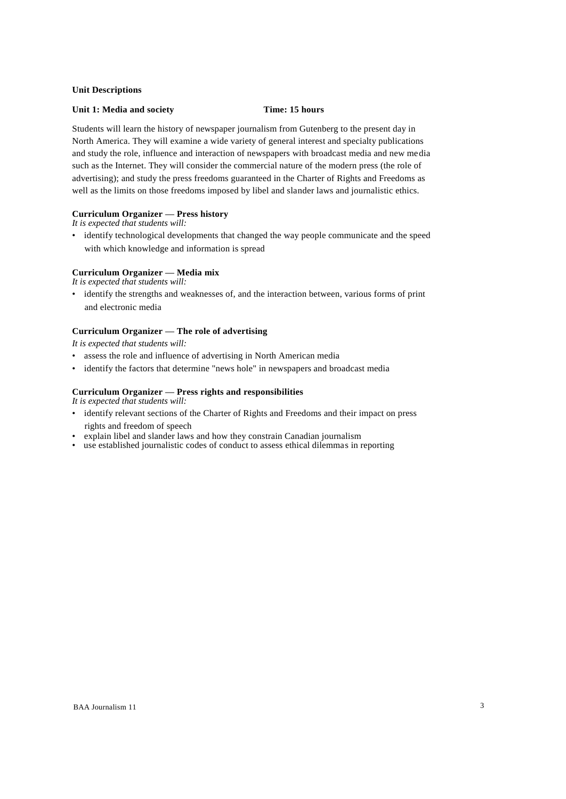## **Unit Descriptions**

### **Unit 1: Media and society Time: 15 hours**

Students will learn the history of newspaper journalism from Gutenberg to the present day in North America. They will examine a wide variety of general interest and specialty publications and study the role, influence and interaction of newspapers with broadcast media and new media such as the Internet. They will consider the commercial nature of the modern press (the role of advertising); and study the press freedoms guaranteed in the Charter of Rights and Freedoms as well as the limits on those freedoms imposed by libel and slander laws and journalistic ethics.

## **Curriculum Organizer — Press history**

*It is expected that students will:*

• identify technological developments that changed the way people communicate and the speed with which knowledge and information is spread

## **Curriculum Organizer — Media mix**

*It is expected that students will:*

• identify the strengths and weaknesses of, and the interaction between, various forms of print and electronic media

## **Curriculum Organizer — The role of advertising**

*It is expected that students will:*

- assess the role and influence of advertising in North American media
- identify the factors that determine "news hole" in newspapers and broadcast media

## **Curriculum Organizer — Press rights and responsibilities**

- identify relevant sections of the Charter of Rights and Freedoms and their impact on press rights and freedom of speech
- explain libel and slander laws and how they constrain Canadian journalism
- use established journalistic codes of conduct to assess ethical dilemmas in reporting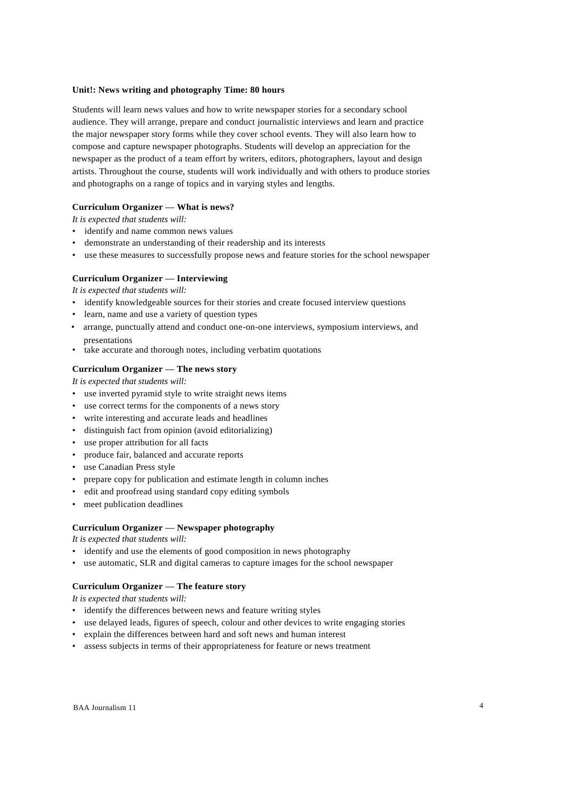#### **Unit!: News writing and photography Time: 80 hours**

Students will learn news values and how to write newspaper stories for a secondary school audience. They will arrange, prepare and conduct journalistic interviews and learn and practice the major newspaper story forms while they cover school events. They will also learn how to compose and capture newspaper photographs. Students will develop an appreciation for the newspaper as the product of a team effort by writers, editors, photographers, layout and design artists. Throughout the course, students will work individually and with others to produce stories and photographs on a range of topics and in varying styles and lengths.

## **Curriculum Organizer — What is news?**

*It is expected that students will:*

- identify and name common news values
- demonstrate an understanding of their readership and its interests
- use these measures to successfully propose news and feature stories for the school newspaper

#### **Curriculum Organizer — Interviewing**

*It is expected that students will:*

- identify knowledgeable sources for their stories and create focused interview questions
- learn, name and use a variety of question types
- arrange, punctually attend and conduct one-on-one interviews, symposium interviews, and presentations
- take accurate and thorough notes, including verbatim quotations

#### **Curriculum Organizer — The news story**

*It is expected that students will:*

- use inverted pyramid style to write straight news items
- use correct terms for the components of a news story
- write interesting and accurate leads and headlines
- distinguish fact from opinion (avoid editorializing)
- use proper attribution for all facts
- produce fair, balanced and accurate reports
- use Canadian Press style
- prepare copy for publication and estimate length in column inches
- edit and proofread using standard copy editing symbols
- meet publication deadlines

#### **Curriculum Organizer — Newspaper photography**

*It is expected that students will:*

- identify and use the elements of good composition in news photography
- use automatic, SLR and digital cameras to capture images for the school newspaper

## **Curriculum Organizer — The feature story**

- identify the differences between news and feature writing styles
- use delayed leads, figures of speech, colour and other devices to write engaging stories
- explain the differences between hard and soft news and human interest
- assess subjects in terms of their appropriateness for feature or news treatment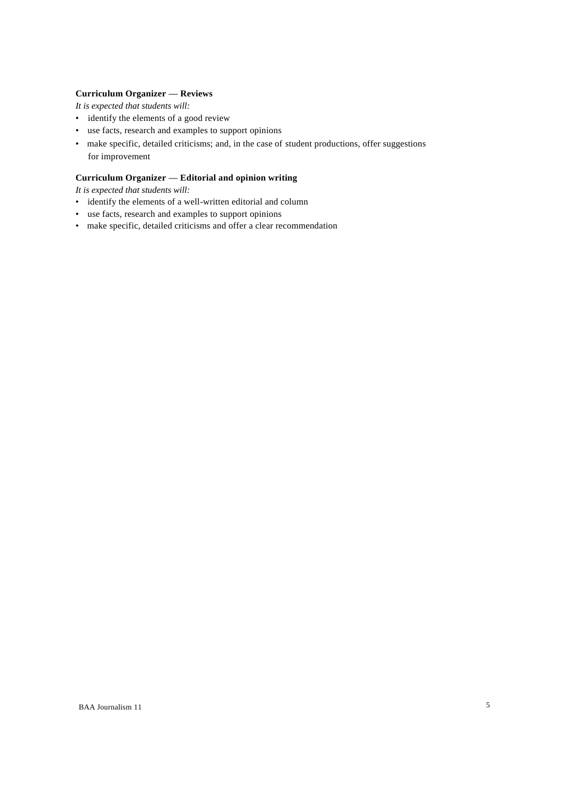## **Curriculum Organizer — Reviews**

*It is expected that students will:*

- identify the elements of a good review
- use facts, research and examples to support opinions
- make specific, detailed criticisms; and, in the case of student productions, offer suggestions for improvement

## **Curriculum Organizer — Editorial and opinion writing**

- identify the elements of a well-written editorial and column
- use facts, research and examples to support opinions
- make specific, detailed criticisms and offer a clear recommendation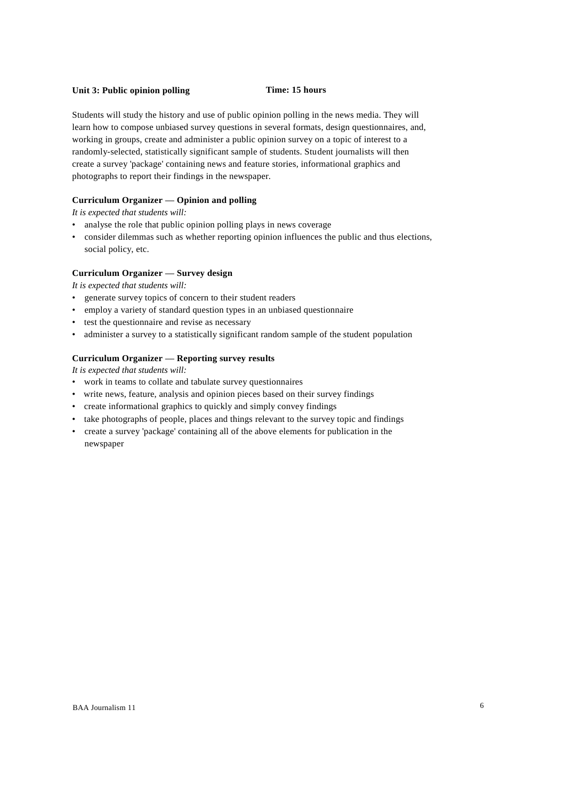## **Unit 3: Public opinion polling Time: 15 hours**

Students will study the history and use of public opinion polling in the news media. They will learn how to compose unbiased survey questions in several formats, design questionnaires, and, working in groups, create and administer a public opinion survey on a topic of interest to a randomly-selected, statistically significant sample of students. Student journalists will then create a survey 'package' containing news and feature stories, informational graphics and photographs to report their findings in the newspaper.

## **Curriculum Organizer — Opinion and polling**

*It is expected that students will:*

- analyse the role that public opinion polling plays in news coverage
- consider dilemmas such as whether reporting opinion influences the public and thus elections, social policy, etc.

## **Curriculum Organizer — Survey design**

*It is expected that students will:*

- generate survey topics of concern to their student readers
- employ a variety of standard question types in an unbiased questionnaire
- test the questionnaire and revise as necessary
- administer a survey to a statistically significant random sample of the student population

## **Curriculum Organizer — Reporting survey results**

- work in teams to collate and tabulate survey questionnaires
- write news, feature, analysis and opinion pieces based on their survey findings
- create informational graphics to quickly and simply convey findings
- take photographs of people, places and things relevant to the survey topic and findings
- create a survey 'package' containing all of the above elements for publication in the newspaper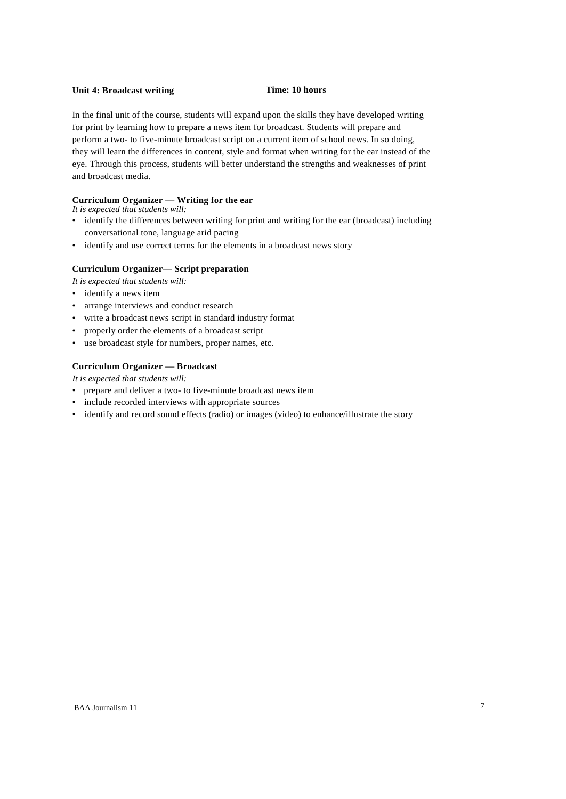## **Unit 4: Broadcast writing Time: 10 hours**

In the final unit of the course, students will expand upon the skills they have developed writing for print by learning how to prepare a news item for broadcast. Students will prepare and perform a two- to five-minute broadcast script on a current item of school news. In so doing, they will learn the differences in content, style and format when writing for the ear instead of the eye. Through this process, students will better understand the strengths and weaknesses of print and broadcast media.

## **Curriculum Organizer — Writing for the ear**

*It is expected that students will:*

- identify the differences between writing for print and writing for the ear (broadcast) including conversational tone, language arid pacing
- identify and use correct terms for the elements in a broadcast news story

## **Curriculum Organizer— Script preparation**

*It is expected that students will:*

- identify a news item
- arrange interviews and conduct research
- write a broadcast news script in standard industry format
- properly order the elements of a broadcast script
- use broadcast style for numbers, proper names, etc.

## **Curriculum Organizer — Broadcast**

- prepare and deliver a two- to five-minute broadcast news item
- include recorded interviews with appropriate sources
- identify and record sound effects (radio) or images (video) to enhance/illustrate the story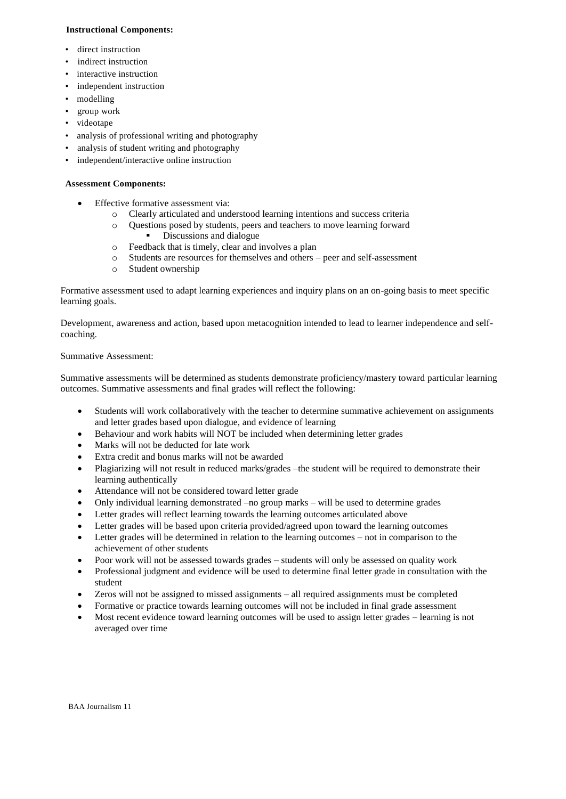## **Instructional Components:**

- direct instruction
- indirect instruction
- interactive instruction
- independent instruction
- modelling
- group work
- videotape
- analysis of professional writing and photography
- analysis of student writing and photography
- independent/interactive online instruction

## **Assessment Components:**

- Effective formative assessment via:
	- o Clearly articulated and understood learning intentions and success criteria
	- o Questions posed by students, peers and teachers to move learning forward
		- Discussions and dialogue
	- o Feedback that is timely, clear and involves a plan
	- o Students are resources for themselves and others peer and self-assessment
	- o Student ownership

Formative assessment used to adapt learning experiences and inquiry plans on an on-going basis to meet specific learning goals.

Development, awareness and action, based upon metacognition intended to lead to learner independence and selfcoaching.

## Summative Assessment:

Summative assessments will be determined as students demonstrate proficiency/mastery toward particular learning outcomes. Summative assessments and final grades will reflect the following:

- Students will work collaboratively with the teacher to determine summative achievement on assignments and letter grades based upon dialogue, and evidence of learning
- Behaviour and work habits will NOT be included when determining letter grades
- Marks will not be deducted for late work
- Extra credit and bonus marks will not be awarded
- Plagiarizing will not result in reduced marks/grades –the student will be required to demonstrate their learning authentically
- Attendance will not be considered toward letter grade
- Only individual learning demonstrated –no group marks will be used to determine grades
- Letter grades will reflect learning towards the learning outcomes articulated above
- Letter grades will be based upon criteria provided/agreed upon toward the learning outcomes
- Letter grades will be determined in relation to the learning outcomes not in comparison to the achievement of other students
- Poor work will not be assessed towards grades students will only be assessed on quality work
- Professional judgment and evidence will be used to determine final letter grade in consultation with the student
- Zeros will not be assigned to missed assignments all required assignments must be completed
- Formative or practice towards learning outcomes will not be included in final grade assessment
- Most recent evidence toward learning outcomes will be used to assign letter grades learning is not averaged over time